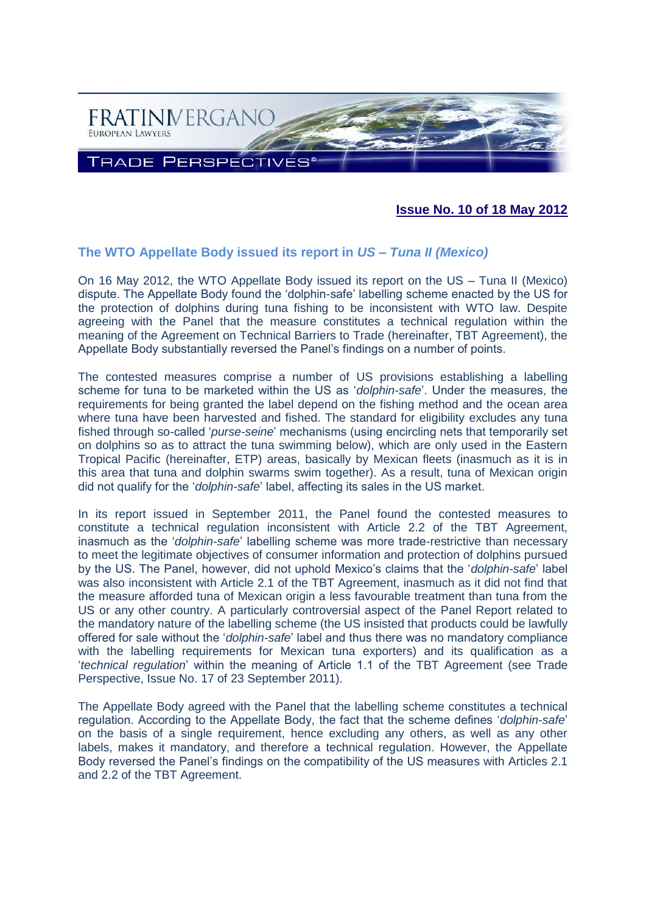

### **Issue No. 10 of 18 May 2012**

#### **The WTO Appellate Body issued its report in** *US – Tuna II (Mexico)*

On 16 May 2012, the WTO Appellate Body issued its report on the US – Tuna II (Mexico) dispute. The Appellate Body found the 'dolphin-safe' labelling scheme enacted by the US for the protection of dolphins during tuna fishing to be inconsistent with WTO law. Despite agreeing with the Panel that the measure constitutes a technical regulation within the meaning of the Agreement on Technical Barriers to Trade (hereinafter, TBT Agreement), the Appellate Body substantially reversed the Panel's findings on a number of points.

The contested measures comprise a number of US provisions establishing a labelling scheme for tuna to be marketed within the US as '*dolphin-safe*'. Under the measures, the requirements for being granted the label depend on the fishing method and the ocean area where tuna have been harvested and fished. The standard for eligibility excludes any tuna fished through so-called '*purse-seine*' mechanisms (using encircling nets that temporarily set on dolphins so as to attract the tuna swimming below), which are only used in the Eastern Tropical Pacific (hereinafter, ETP) areas, basically by Mexican fleets (inasmuch as it is in this area that tuna and dolphin swarms swim together). As a result, tuna of Mexican origin did not qualify for the '*dolphin-safe*' label, affecting its sales in the US market.

In its report issued in September 2011, the Panel found the contested measures to constitute a technical regulation inconsistent with Article 2.2 of the TBT Agreement, inasmuch as the '*dolphin-safe*' labelling scheme was more trade-restrictive than necessary to meet the legitimate objectives of consumer information and protection of dolphins pursued by the US. The Panel, however, did not uphold Mexico's claims that the '*dolphin-safe*' label was also inconsistent with Article 2.1 of the TBT Agreement, inasmuch as it did not find that the measure afforded tuna of Mexican origin a less favourable treatment than tuna from the US or any other country. A particularly controversial aspect of the Panel Report related to the mandatory nature of the labelling scheme (the US insisted that products could be lawfully offered for sale without the '*dolphin-safe*' label and thus there was no mandatory compliance with the labelling requirements for Mexican tuna exporters) and its qualification as a '*technical regulation*' within the meaning of Article 1.1 of the TBT Agreement (see Trade Perspective, Issue No. 17 of 23 September 2011).

The Appellate Body agreed with the Panel that the labelling scheme constitutes a technical regulation. According to the Appellate Body, the fact that the scheme defines '*dolphin-safe*' on the basis of a single requirement, hence excluding any others, as well as any other labels, makes it mandatory, and therefore a technical regulation. However, the Appellate Body reversed the Panel's findings on the compatibility of the US measures with Articles 2.1 and 2.2 of the TBT Agreement.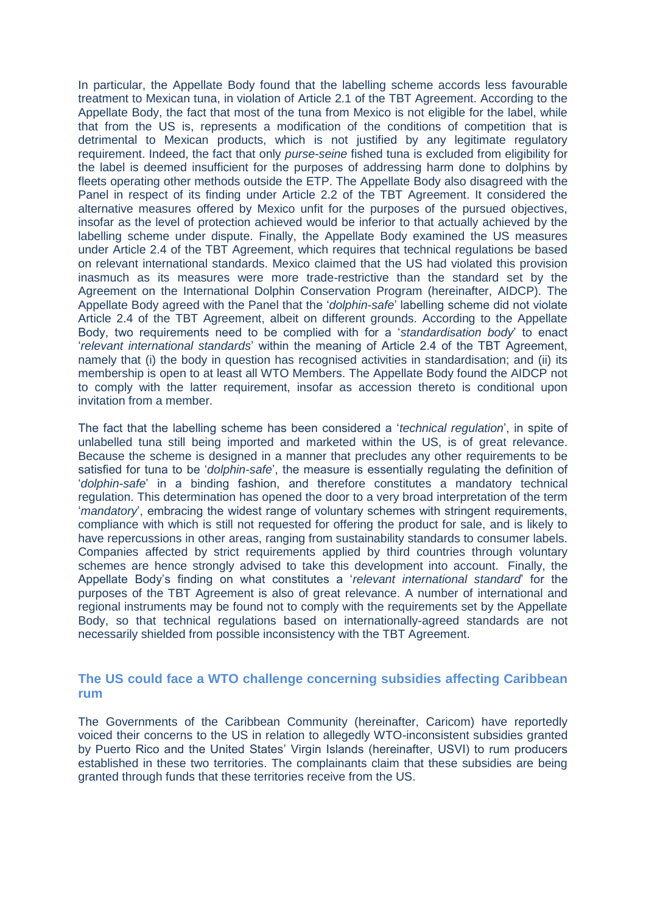In particular, the Appellate Body found that the labelling scheme accords less favourable treatment to Mexican tuna, in violation of Article 2.1 of the TBT Agreement. According to the Appellate Body, the fact that most of the tuna from Mexico is not eligible for the label, while that from the US is, represents a modification of the conditions of competition that is detrimental to Mexican products, which is not justified by any legitimate regulatory requirement. Indeed, the fact that only *purse-seine* fished tuna is excluded from eligibility for the label is deemed insufficient for the purposes of addressing harm done to dolphins by fleets operating other methods outside the ETP. The Appellate Body also disagreed with the Panel in respect of its finding under Article 2.2 of the TBT Agreement. It considered the alternative measures offered by Mexico unfit for the purposes of the pursued objectives, insofar as the level of protection achieved would be inferior to that actually achieved by the labelling scheme under dispute. Finally, the Appellate Body examined the US measures under Article 2.4 of the TBT Agreement, which requires that technical regulations be based on relevant international standards. Mexico claimed that the US had violated this provision inasmuch as its measures were more trade-restrictive than the standard set by the Agreement on the International Dolphin Conservation Program (hereinafter, AIDCP). The Appellate Body agreed with the Panel that the '*dolphin-safe*' labelling scheme did not violate Article 2.4 of the TBT Agreement, albeit on different grounds. According to the Appellate Body, two requirements need to be complied with for a '*standardisation body*' to enact '*relevant international standards*' within the meaning of Article 2.4 of the TBT Agreement, namely that (i) the body in question has recognised activities in standardisation; and (ii) its membership is open to at least all WTO Members. The Appellate Body found the AIDCP not to comply with the latter requirement, insofar as accession thereto is conditional upon invitation from a member.

The fact that the labelling scheme has been considered a '*technical regulation*', in spite of unlabelled tuna still being imported and marketed within the US, is of great relevance. Because the scheme is designed in a manner that precludes any other requirements to be satisfied for tuna to be '*dolphin-safe*', the measure is essentially regulating the definition of '*dolphin-safe*' in a binding fashion, and therefore constitutes a mandatory technical regulation. This determination has opened the door to a very broad interpretation of the term '*mandatory*', embracing the widest range of voluntary schemes with stringent requirements, compliance with which is still not requested for offering the product for sale, and is likely to have repercussions in other areas, ranging from sustainability standards to consumer labels. Companies affected by strict requirements applied by third countries through voluntary schemes are hence strongly advised to take this development into account. Finally, the Appellate Body's finding on what constitutes a '*relevant international standard*' for the purposes of the TBT Agreement is also of great relevance. A number of international and regional instruments may be found not to comply with the requirements set by the Appellate Body, so that technical regulations based on internationally-agreed standards are not necessarily shielded from possible inconsistency with the TBT Agreement.

#### **The US could face a WTO challenge concerning subsidies affecting Caribbean rum**

The Governments of the Caribbean Community (hereinafter, Caricom) have reportedly voiced their concerns to the US in relation to allegedly WTO-inconsistent subsidies granted by Puerto Rico and the United States' Virgin Islands (hereinafter, USVI) to rum producers established in these two territories. The complainants claim that these subsidies are being granted through funds that these territories receive from the US.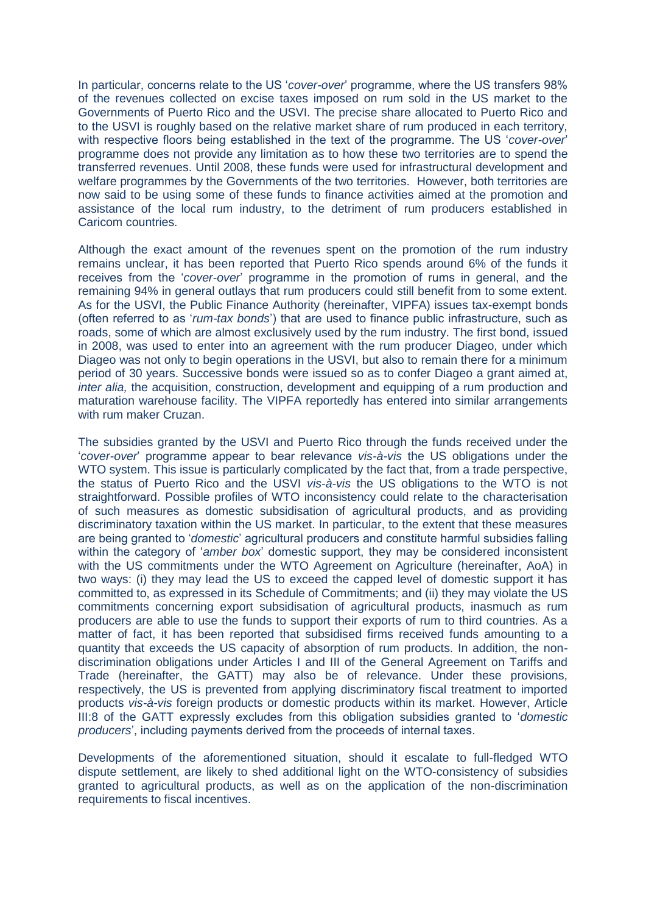In particular, concerns relate to the US '*cover-over*' programme, where the US transfers 98% of the revenues collected on excise taxes imposed on rum sold in the US market to the Governments of Puerto Rico and the USVI. The precise share allocated to Puerto Rico and to the USVI is roughly based on the relative market share of rum produced in each territory, with respective floors being established in the text of the programme. The US '*cover-over*' programme does not provide any limitation as to how these two territories are to spend the transferred revenues. Until 2008, these funds were used for infrastructural development and welfare programmes by the Governments of the two territories. However, both territories are now said to be using some of these funds to finance activities aimed at the promotion and assistance of the local rum industry, to the detriment of rum producers established in Caricom countries.

Although the exact amount of the revenues spent on the promotion of the rum industry remains unclear, it has been reported that Puerto Rico spends around 6% of the funds it receives from the '*cover-over*' programme in the promotion of rums in general, and the remaining 94% in general outlays that rum producers could still benefit from to some extent. As for the USVI, the Public Finance Authority (hereinafter, VIPFA) issues tax-exempt bonds (often referred to as '*rum-tax bonds*') that are used to finance public infrastructure, such as roads, some of which are almost exclusively used by the rum industry. The first bond, issued in 2008, was used to enter into an agreement with the rum producer Diageo, under which Diageo was not only to begin operations in the USVI, but also to remain there for a minimum period of 30 years. Successive bonds were issued so as to confer Diageo a grant aimed at, *inter alia*, the acquisition, construction, development and equipping of a rum production and maturation warehouse facility. The VIPFA reportedly has entered into similar arrangements with rum maker Cruzan.

The subsidies granted by the USVI and Puerto Rico through the funds received under the '*cover-over*' programme appear to bear relevance *vis-à-vis* the US obligations under the WTO system. This issue is particularly complicated by the fact that, from a trade perspective, the status of Puerto Rico and the USVI *vis-à-vis* the US obligations to the WTO is not straightforward. Possible profiles of WTO inconsistency could relate to the characterisation of such measures as domestic subsidisation of agricultural products, and as providing discriminatory taxation within the US market. In particular, to the extent that these measures are being granted to '*domestic*' agricultural producers and constitute harmful subsidies falling within the category of '*amber box*' domestic support, they may be considered inconsistent with the US commitments under the WTO Agreement on Agriculture (hereinafter, AoA) in two ways: (i) they may lead the US to exceed the capped level of domestic support it has committed to, as expressed in its Schedule of Commitments; and (ii) they may violate the US commitments concerning export subsidisation of agricultural products, inasmuch as rum producers are able to use the funds to support their exports of rum to third countries. As a matter of fact, it has been reported that subsidised firms received funds amounting to a quantity that exceeds the US capacity of absorption of rum products. In addition, the nondiscrimination obligations under Articles I and III of the General Agreement on Tariffs and Trade (hereinafter, the GATT) may also be of relevance. Under these provisions, respectively, the US is prevented from applying discriminatory fiscal treatment to imported products *vis-à-vis* foreign products or domestic products within its market. However, Article III:8 of the GATT expressly excludes from this obligation subsidies granted to '*domestic producers*', including payments derived from the proceeds of internal taxes.

Developments of the aforementioned situation, should it escalate to full-fledged WTO dispute settlement, are likely to shed additional light on the WTO-consistency of subsidies granted to agricultural products, as well as on the application of the non-discrimination requirements to fiscal incentives.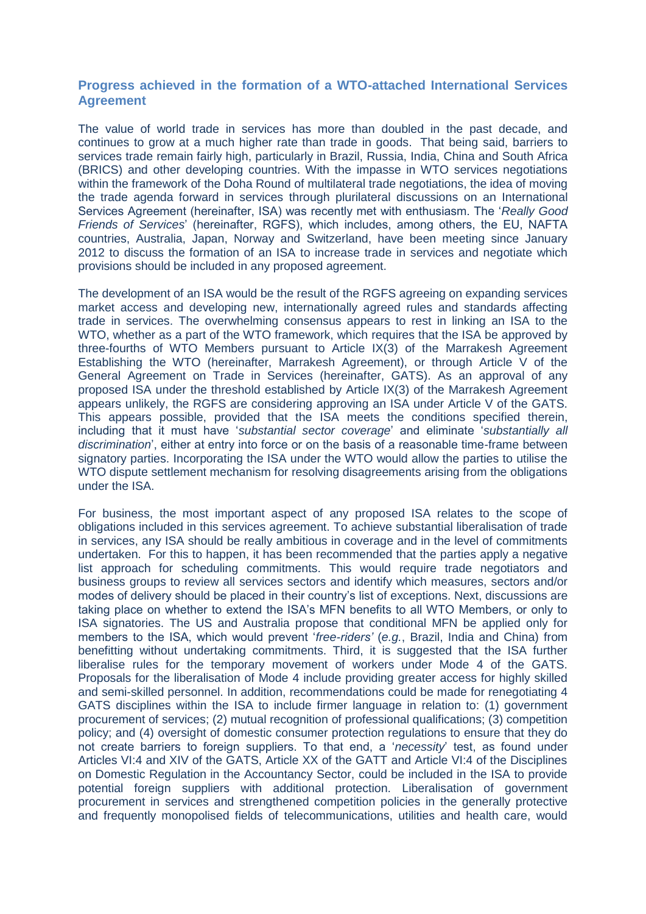#### **Progress achieved in the formation of a WTO-attached International Services Agreement**

The value of world trade in services has more than doubled in the past decade, and continues to grow at a much higher rate than trade in goods. That being said, barriers to services trade remain fairly high, particularly in Brazil, Russia, India, China and South Africa (BRICS) and other developing countries. With the impasse in WTO services negotiations within the framework of the Doha Round of multilateral trade negotiations, the idea of moving the trade agenda forward in services through plurilateral discussions on an International Services Agreement (hereinafter, ISA) was recently met with enthusiasm. The '*Really Good Friends of Services*' (hereinafter, RGFS), which includes, among others, the EU, NAFTA countries, Australia, Japan, Norway and Switzerland, have been meeting since January 2012 to discuss the formation of an ISA to increase trade in services and negotiate which provisions should be included in any proposed agreement.

The development of an ISA would be the result of the RGFS agreeing on expanding services market access and developing new, internationally agreed rules and standards affecting trade in services. The overwhelming consensus appears to rest in linking an ISA to the WTO, whether as a part of the WTO framework, which requires that the ISA be approved by three-fourths of WTO Members pursuant to Article IX(3) of the Marrakesh Agreement Establishing the WTO (hereinafter, Marrakesh Agreement), or through Article V of the General Agreement on Trade in Services (hereinafter, GATS). As an approval of any proposed ISA under the threshold established by Article IX(3) of the Marrakesh Agreement appears unlikely, the RGFS are considering approving an ISA under Article V of the GATS. This appears possible, provided that the ISA meets the conditions specified therein, including that it must have '*substantial sector coverage*' and eliminate '*substantially all discrimination*', either at entry into force or on the basis of a reasonable time-frame between signatory parties. Incorporating the ISA under the WTO would allow the parties to utilise the WTO dispute settlement mechanism for resolving disagreements arising from the obligations under the ISA.

For business, the most important aspect of any proposed ISA relates to the scope of obligations included in this services agreement. To achieve substantial liberalisation of trade in services, any ISA should be really ambitious in coverage and in the level of commitments undertaken. For this to happen, it has been recommended that the parties apply a negative list approach for scheduling commitments. This would require trade negotiators and business groups to review all services sectors and identify which measures, sectors and/or modes of delivery should be placed in their country's list of exceptions. Next, discussions are taking place on whether to extend the ISA's MFN benefits to all WTO Members, or only to ISA signatories. The US and Australia propose that conditional MFN be applied only for members to the ISA, which would prevent '*free-riders'* (*e.g.*, Brazil, India and China) from benefitting without undertaking commitments. Third, it is suggested that the ISA further liberalise rules for the temporary movement of workers under Mode 4 of the GATS. Proposals for the liberalisation of Mode 4 include providing greater access for highly skilled and semi-skilled personnel. In addition, recommendations could be made for renegotiating 4 GATS disciplines within the ISA to include firmer language in relation to: (1) government procurement of services; (2) mutual recognition of professional qualifications; (3) competition policy; and (4) oversight of domestic consumer protection regulations to ensure that they do not create barriers to foreign suppliers. To that end, a '*necessity*' test, as found under Articles VI:4 and XIV of the GATS, Article XX of the GATT and Article VI:4 of the Disciplines on Domestic Regulation in the Accountancy Sector, could be included in the ISA to provide potential foreign suppliers with additional protection. Liberalisation of government procurement in services and strengthened competition policies in the generally protective and frequently monopolised fields of telecommunications, utilities and health care, would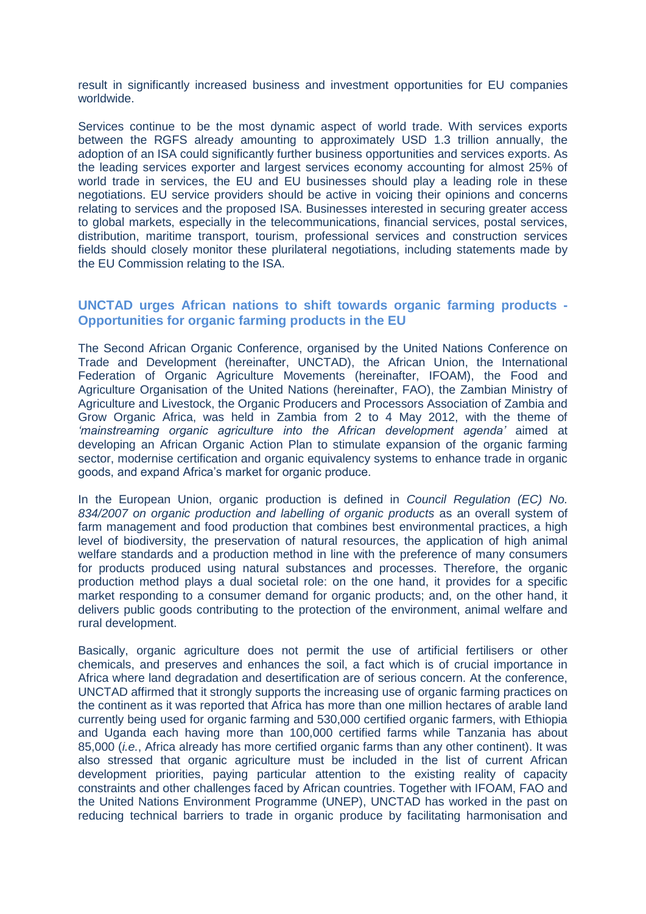result in significantly increased business and investment opportunities for EU companies worldwide.

Services continue to be the most dynamic aspect of world trade. With services exports between the RGFS already amounting to approximately USD 1.3 trillion annually, the adoption of an ISA could significantly further business opportunities and services exports. As the leading services exporter and largest services economy accounting for almost 25% of world trade in services, the EU and EU businesses should play a leading role in these negotiations. EU service providers should be active in voicing their opinions and concerns relating to services and the proposed ISA. Businesses interested in securing greater access to global markets, especially in the telecommunications, financial services, postal services, distribution, maritime transport, tourism, professional services and construction services fields should closely monitor these plurilateral negotiations, including statements made by the EU Commission relating to the ISA.

#### **UNCTAD urges African nations to shift towards organic farming products - Opportunities for organic farming products in the EU**

The Second African Organic Conference, organised by the United Nations Conference on Trade and Development (hereinafter, UNCTAD), the African Union, the International Federation of Organic Agriculture Movements (hereinafter, IFOAM), the Food and Agriculture Organisation of the United Nations (hereinafter, FAO), the Zambian Ministry of Agriculture and Livestock, the Organic Producers and Processors Association of Zambia and Grow Organic Africa, was held in Zambia from 2 to 4 May 2012, with the theme of *'mainstreaming organic agriculture into the African development agenda'* aimed at developing an African Organic Action Plan to stimulate expansion of the organic farming sector, modernise certification and organic equivalency systems to enhance trade in organic goods, and expand Africa's market for organic produce.

In the European Union, organic production is defined in *Council Regulation (EC) No. 834/2007 on organic production and labelling of organic products* as an overall system of farm management and food production that combines best environmental practices, a high level of biodiversity, the preservation of natural resources, the application of high animal welfare standards and a production method in line with the preference of many consumers for products produced using natural substances and processes. Therefore, the organic production method plays a dual societal role: on the one hand, it provides for a specific market responding to a consumer demand for organic products; and, on the other hand, it delivers public goods contributing to the protection of the environment, animal welfare and rural development.

Basically, organic agriculture does not permit the use of artificial fertilisers or other chemicals, and preserves and enhances the soil, a fact which is of crucial importance in Africa where land degradation and desertification are of serious concern. At the conference, UNCTAD affirmed that it strongly supports the increasing use of organic farming practices on the continent as it was reported that Africa has more than one million hectares of arable land currently being used for organic farming and 530,000 certified organic farmers, with Ethiopia and Uganda each having more than 100,000 certified farms while Tanzania has about 85,000 (*i.e.*, Africa already has more certified organic farms than any other continent). It was also stressed that organic agriculture must be included in the list of current African development priorities, paying particular attention to the existing reality of capacity constraints and other challenges faced by African countries. Together with IFOAM, FAO and the United Nations Environment Programme (UNEP), UNCTAD has worked in the past on reducing technical barriers to trade in organic produce by facilitating harmonisation and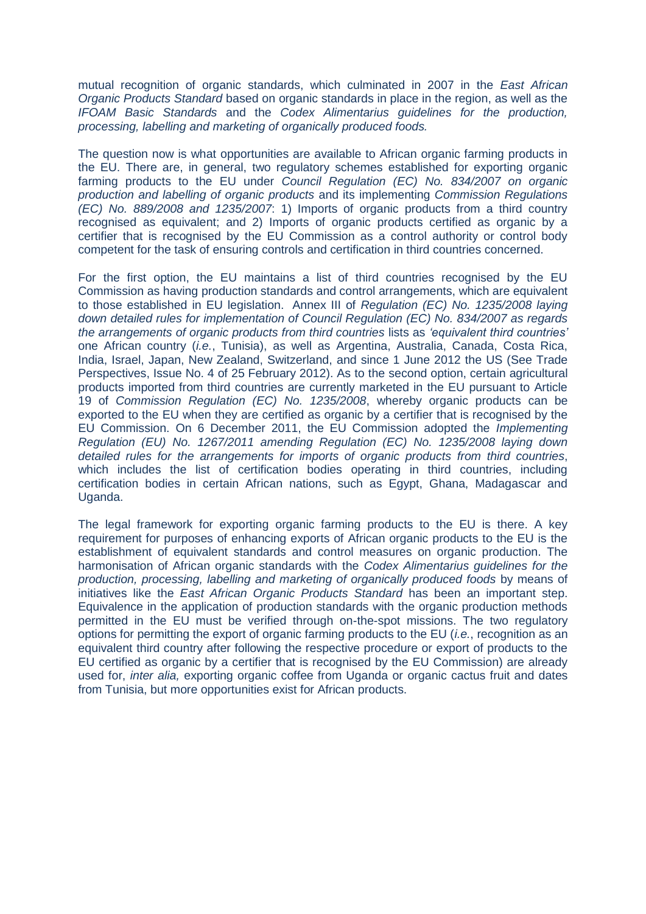mutual recognition of organic standards, which culminated in 2007 in the *East African Organic Products Standard* based on organic standards in place in the region, as well as the *IFOAM Basic Standards* and the *Codex Alimentarius guidelines for the production, processing, labelling and marketing of organically produced foods.*

The question now is what opportunities are available to African organic farming products in the EU. There are, in general, two regulatory schemes established for exporting organic farming products to the EU under *Council Regulation (EC) No. 834/2007 on organic production and labelling of organic products* and its implementing *Commission Regulations (EC) No. 889/2008 and 1235/2007*: 1) Imports of organic products from a third country recognised as equivalent; and 2) Imports of organic products certified as organic by a certifier that is recognised by the EU Commission as a control authority or control body competent for the task of ensuring controls and certification in third countries concerned.

For the first option, the EU maintains a list of third countries recognised by the EU Commission as having production standards and control arrangements, which are equivalent to those established in EU legislation. Annex III of *Regulation (EC) No. 1235/2008 laying down detailed rules for implementation of Council Regulation (EC) No. 834/2007 as regards the arrangements of organic products from third countries* lists as *'equivalent third countries'* one African country (*i.e.*, Tunisia), as well as Argentina, Australia, Canada, Costa Rica, India, Israel, Japan, New Zealand, Switzerland, and since 1 June 2012 the US (See Trade Perspectives, Issue No. 4 of 25 February 2012). As to the second option, certain agricultural products imported from third countries are currently marketed in the EU pursuant to Article 19 of *Commission Regulation (EC) No. 1235/2008*, whereby organic products can be exported to the EU when they are certified as organic by a certifier that is recognised by the EU Commission. On 6 December 2011, the EU Commission adopted the *Implementing Regulation (EU) No. 1267/2011 amending Regulation (EC) No. 1235/2008 laying down detailed rules for the arrangements for imports of organic products from third countries*, which includes the list of certification bodies operating in third countries, including certification bodies in certain African nations, such as Egypt, Ghana, Madagascar and Uganda.

The legal framework for exporting organic farming products to the EU is there. A key requirement for purposes of enhancing exports of African organic products to the EU is the establishment of equivalent standards and control measures on organic production. The harmonisation of African organic standards with the *Codex Alimentarius guidelines for the production, processing, labelling and marketing of organically produced foods* by means of initiatives like the *East African Organic Products Standard* has been an important step. Equivalence in the application of production standards with the organic production methods permitted in the EU must be verified through on-the-spot missions. The two regulatory options for permitting the export of organic farming products to the EU (*i.e.*, recognition as an equivalent third country after following the respective procedure or export of products to the EU certified as organic by a certifier that is recognised by the EU Commission) are already used for, *inter alia,* exporting organic coffee from Uganda or organic cactus fruit and dates from Tunisia, but more opportunities exist for African products.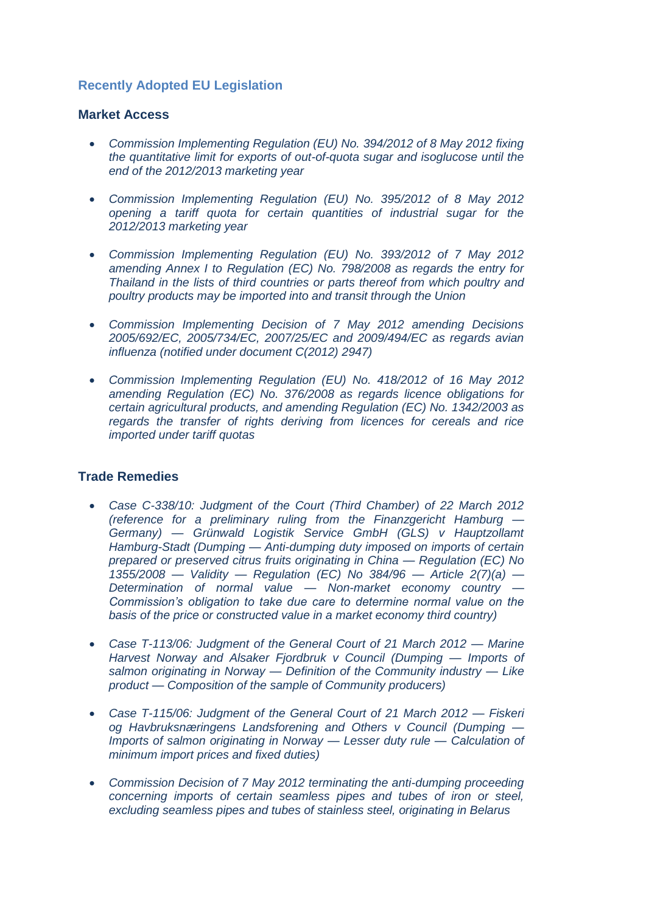# **Recently Adopted EU Legislation**

#### **Market Access**

- *[Commission Implementing Regulation \(EU\) No. 394/2012 of 8 May 2012 fixing](http://eur-lex.europa.eu/LexUriServ/LexUriServ.do?uri=OJ:L:2012:123:0030:0031:EN:PDF)  [the quantitative limit for exports of out-of-quota sugar and isoglucose until the](http://eur-lex.europa.eu/LexUriServ/LexUriServ.do?uri=OJ:L:2012:123:0030:0031:EN:PDF)  [end of the 2012/2013 marketing year](http://eur-lex.europa.eu/LexUriServ/LexUriServ.do?uri=OJ:L:2012:123:0030:0031:EN:PDF)*
- *[Commission Implementing Regulation \(EU\) No. 395/2012 of 8 May 2012](http://eur-lex.europa.eu/LexUriServ/LexUriServ.do?uri=OJ:L:2012:123:0032:0032:EN:PDF)  [opening a tariff quota for certain quantities of industrial sugar for the](http://eur-lex.europa.eu/LexUriServ/LexUriServ.do?uri=OJ:L:2012:123:0032:0032:EN:PDF)  [2012/2013 marketing year](http://eur-lex.europa.eu/LexUriServ/LexUriServ.do?uri=OJ:L:2012:123:0032:0032:EN:PDF)*
- *[Commission Implementing Regulation \(EU\) No. 393/2012 of 7 May 2012](http://eur-lex.europa.eu/LexUriServ/LexUriServ.do?uri=OJ:L:2012:123:0027:0029:EN:PDF)  [amending Annex I to Regulation \(EC\) No. 798/2008 as regards the entry for](http://eur-lex.europa.eu/LexUriServ/LexUriServ.do?uri=OJ:L:2012:123:0027:0029:EN:PDF)  [Thailand in the lists of third countries or parts thereof from which poultry and](http://eur-lex.europa.eu/LexUriServ/LexUriServ.do?uri=OJ:L:2012:123:0027:0029:EN:PDF)  [poultry products may be imported into and transit through the Union](http://eur-lex.europa.eu/LexUriServ/LexUriServ.do?uri=OJ:L:2012:123:0027:0029:EN:PDF)*
- *[Commission Implementing Decision of 7 May 2012 amending Decisions](http://eur-lex.europa.eu/LexUriServ/LexUriServ.do?uri=OJ:L:2012:123:0042:0043:EN:PDF)  [2005/692/EC, 2005/734/EC, 2007/25/EC and 2009/494/EC as regards avian](http://eur-lex.europa.eu/LexUriServ/LexUriServ.do?uri=OJ:L:2012:123:0042:0043:EN:PDF)  [influenza \(notified under document C\(2012\) 2947\)](http://eur-lex.europa.eu/LexUriServ/LexUriServ.do?uri=OJ:L:2012:123:0042:0043:EN:PDF)*
- *[Commission Implementing Regulation \(EU\)](http://eur-lex.europa.eu/LexUriServ/LexUriServ.do?uri=OJ:L:2012:130:0001:0013:EN:PDF) No. 418/2012 of 16 May 2012 [amending Regulation \(EC\) No. 376/2008 as regards licence obligations for](http://eur-lex.europa.eu/LexUriServ/LexUriServ.do?uri=OJ:L:2012:130:0001:0013:EN:PDF)  [certain agricultural products, and amending Regulation \(EC\) No. 1342/2003 as](http://eur-lex.europa.eu/LexUriServ/LexUriServ.do?uri=OJ:L:2012:130:0001:0013:EN:PDF)  [regards the transfer of rights deriving from licences for cereals and rice](http://eur-lex.europa.eu/LexUriServ/LexUriServ.do?uri=OJ:L:2012:130:0001:0013:EN:PDF)  [imported under tariff quotas](http://eur-lex.europa.eu/LexUriServ/LexUriServ.do?uri=OJ:L:2012:130:0001:0013:EN:PDF)*

## **Trade Remedies**

- *[Case C-338/10: Judgment of the Court \(Third Chamber\) of 22 March 2012](http://eur-lex.europa.eu/LexUriServ/LexUriServ.do?uri=OJ:C:2012:133:0005:0006:EN:PDF)  [\(reference for a preliminary ruling from the Finanzgericht Hamburg —](http://eur-lex.europa.eu/LexUriServ/LexUriServ.do?uri=OJ:C:2012:133:0005:0006:EN:PDF) Germany) — [Grünwald Logistik Service GmbH \(GLS\) v Hauptzollamt](http://eur-lex.europa.eu/LexUriServ/LexUriServ.do?uri=OJ:C:2012:133:0005:0006:EN:PDF)  Hamburg-Stadt (Dumping — [Anti-dumping duty imposed on imports of certain](http://eur-lex.europa.eu/LexUriServ/LexUriServ.do?uri=OJ:C:2012:133:0005:0006:EN:PDF)  [prepared or preserved citrus fruits originating in China —](http://eur-lex.europa.eu/LexUriServ/LexUriServ.do?uri=OJ:C:2012:133:0005:0006:EN:PDF) Regulation (EC) No 1355/2008 — Validity — [Regulation \(EC\) No 384/96 —](http://eur-lex.europa.eu/LexUriServ/LexUriServ.do?uri=OJ:C:2012:133:0005:0006:EN:PDF) Article 2(7)(a) — [Determination of normal value —](http://eur-lex.europa.eu/LexUriServ/LexUriServ.do?uri=OJ:C:2012:133:0005:0006:EN:PDF) Non-market economy country — [Commission's obligation to take due care to determine normal value on the](http://eur-lex.europa.eu/LexUriServ/LexUriServ.do?uri=OJ:C:2012:133:0005:0006:EN:PDF)  [basis of the price or constructed value in a market economy third country\)](http://eur-lex.europa.eu/LexUriServ/LexUriServ.do?uri=OJ:C:2012:133:0005:0006:EN:PDF)*
- *[Case T-113/06: Judgment of the General Court of 21 March 2012 —](http://eur-lex.europa.eu/LexUriServ/LexUriServ.do?uri=OJ:C:2012:133:0021:0022:EN:PDF) Marine [Harvest Norway and Alsaker Fjordbruk v Council \(Dumping —](http://eur-lex.europa.eu/LexUriServ/LexUriServ.do?uri=OJ:C:2012:133:0021:0022:EN:PDF) Imports of salmon originating in Norway — [Definition of the Community industry —](http://eur-lex.europa.eu/LexUriServ/LexUriServ.do?uri=OJ:C:2012:133:0021:0022:EN:PDF) Like product — [Composition of the sample of Community producers\)](http://eur-lex.europa.eu/LexUriServ/LexUriServ.do?uri=OJ:C:2012:133:0021:0022:EN:PDF)*
- *[Case T-115/06: Judgment of the General Court of 21 March 2012 —](http://eur-lex.europa.eu/LexUriServ/LexUriServ.do?uri=OJ:C:2012:133:0022:0022:EN:PDF) Fiskeri [og Havbruksnæringens Landsforening and Others v Council \(Dumping —](http://eur-lex.europa.eu/LexUriServ/LexUriServ.do?uri=OJ:C:2012:133:0022:0022:EN:PDF) [Imports of salmon originating in Norway —](http://eur-lex.europa.eu/LexUriServ/LexUriServ.do?uri=OJ:C:2012:133:0022:0022:EN:PDF) Lesser duty rule — Calculation of [minimum import prices and fixed duties\)](http://eur-lex.europa.eu/LexUriServ/LexUriServ.do?uri=OJ:C:2012:133:0022:0022:EN:PDF)*
- *[Commission Decision of 7 May 2012 terminating the anti-dumping proceeding](http://eur-lex.europa.eu/LexUriServ/LexUriServ.do?uri=OJ:L:2012:121:0036:0037:EN:PDF)  [concerning imports of certain seamless pipes and tubes of iron or steel,](http://eur-lex.europa.eu/LexUriServ/LexUriServ.do?uri=OJ:L:2012:121:0036:0037:EN:PDF)  [excluding seamless pipes and tubes of stainless steel, originating in Belarus](http://eur-lex.europa.eu/LexUriServ/LexUriServ.do?uri=OJ:L:2012:121:0036:0037:EN:PDF)*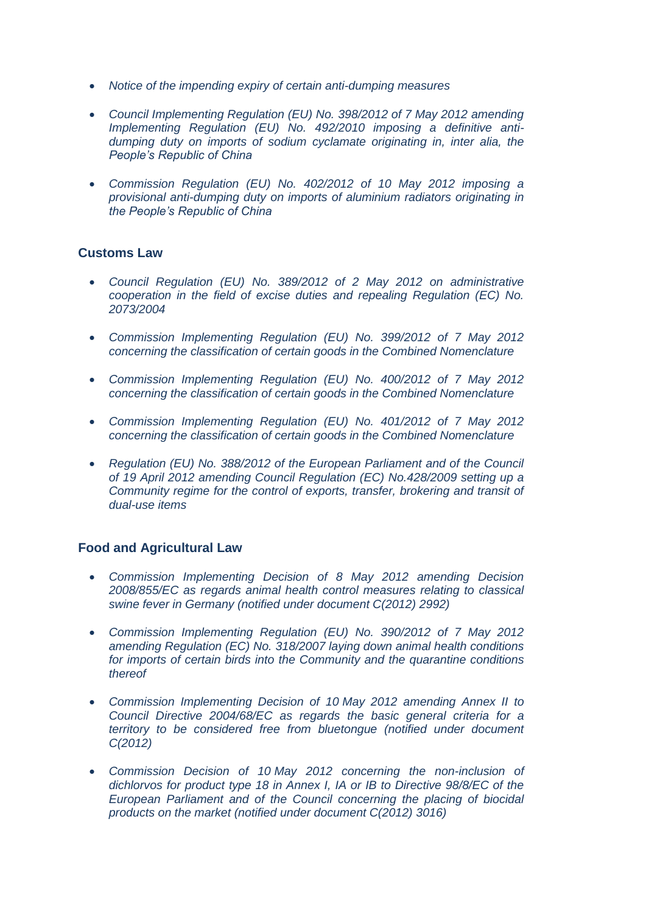- *[Notice of the impending expiry of certain anti-dumping measures](http://eur-lex.europa.eu/LexUriServ/LexUriServ.do?uri=OJ:C:2012:135:0020:0020:EN:PDF)*
- *[Council Implementing Regulation \(EU\) No. 398/2012 of 7 May 2012 amending](http://eur-lex.europa.eu/LexUriServ/LexUriServ.do?uri=OJ:L:2012:124:0001:0010:EN:PDF)  [Implementing Regulation \(EU\) No. 492/2010 imposing a definitive anti](http://eur-lex.europa.eu/LexUriServ/LexUriServ.do?uri=OJ:L:2012:124:0001:0010:EN:PDF)[dumping duty on imports of sodium cyclamate originating in, inter alia, the](http://eur-lex.europa.eu/LexUriServ/LexUriServ.do?uri=OJ:L:2012:124:0001:0010:EN:PDF)  [People's Republic of China](http://eur-lex.europa.eu/LexUriServ/LexUriServ.do?uri=OJ:L:2012:124:0001:0010:EN:PDF)*
- *[Commission Regulation \(EU\) No. 402/2012 of 10 May 2012 imposing a](http://eur-lex.europa.eu/LexUriServ/LexUriServ.do?uri=OJ:L:2012:124:0017:0031:EN:PDF)  [provisional anti-dumping duty on imports of aluminium radiators originating in](http://eur-lex.europa.eu/LexUriServ/LexUriServ.do?uri=OJ:L:2012:124:0017:0031:EN:PDF)  [the People's Republic of China](http://eur-lex.europa.eu/LexUriServ/LexUriServ.do?uri=OJ:L:2012:124:0017:0031:EN:PDF)*

#### **Customs Law**

- *[Council Regulation \(EU\) No. 389/2012 of 2 May 2012 on administrative](http://eur-lex.europa.eu/LexUriServ/LexUriServ.do?uri=OJ:L:2012:121:0001:0015:EN:PDF) [cooperation in the field of excise duties and repealing Regulation \(EC\) No.](http://eur-lex.europa.eu/LexUriServ/LexUriServ.do?uri=OJ:L:2012:121:0001:0015:EN:PDF)  [2073/2004](http://eur-lex.europa.eu/LexUriServ/LexUriServ.do?uri=OJ:L:2012:121:0001:0015:EN:PDF)*
- *[Commission Implementing Regulation \(EU\) No. 399/2012 of 7 May 2012](http://eur-lex.europa.eu/LexUriServ/LexUriServ.do?uri=OJ:L:2012:124:0011:0012:EN:PDF)  [concerning the classification of certain goods in the Combined Nomenclature](http://eur-lex.europa.eu/LexUriServ/LexUriServ.do?uri=OJ:L:2012:124:0011:0012:EN:PDF)*
- *[Commission Implementing Regulation \(EU\) No. 400/2012 of 7 May 2012](http://eur-lex.europa.eu/LexUriServ/LexUriServ.do?uri=OJ:L:2012:124:0013:0014:EN:PDF)  [concerning the classification of certain goods in the Combined Nomenclature](http://eur-lex.europa.eu/LexUriServ/LexUriServ.do?uri=OJ:L:2012:124:0013:0014:EN:PDF)*
- *[Commission Implementing Regulation \(EU\) No. 401/2012 of 7 May 2012](http://eur-lex.europa.eu/LexUriServ/LexUriServ.do?uri=OJ:L:2012:124:0015:0016:EN:PDF)  [concerning the classification of certain goods in the Combined Nomenclature](http://eur-lex.europa.eu/LexUriServ/LexUriServ.do?uri=OJ:L:2012:124:0015:0016:EN:PDF)*
- *[Regulation \(EU\) No. 388/2012 of the European Parliament and of the Council](http://eur-lex.europa.eu/LexUriServ/LexUriServ.do?uri=OJ:L:2012:129:0012:0280:EN:PDF)  of 19 April 2012 amending [Council Regulation \(EC\) No.428/2009 setting up a](http://eur-lex.europa.eu/LexUriServ/LexUriServ.do?uri=OJ:L:2012:129:0012:0280:EN:PDF)  [Community regime for the control of exports, transfer, brokering and transit of](http://eur-lex.europa.eu/LexUriServ/LexUriServ.do?uri=OJ:L:2012:129:0012:0280:EN:PDF)  [dual-use items](http://eur-lex.europa.eu/LexUriServ/LexUriServ.do?uri=OJ:L:2012:129:0012:0280:EN:PDF)*

## **Food and Agricultural Law**

- *[Commission Implementing Decision of 8 May 2012 amending Decision](http://eur-lex.europa.eu/LexUriServ/LexUriServ.do?uri=OJ:L:2012:124:0039:0039:EN:PDF)  [2008/855/EC as regards animal health control measures relating to classical](http://eur-lex.europa.eu/LexUriServ/LexUriServ.do?uri=OJ:L:2012:124:0039:0039:EN:PDF)  [swine fever in Germany \(notified under document C\(2012\) 2992\)](http://eur-lex.europa.eu/LexUriServ/LexUriServ.do?uri=OJ:L:2012:124:0039:0039:EN:PDF)*
- *[Commission Implementing Regulation \(EU\) No. 390/2012 of 7 May 2012](http://eur-lex.europa.eu/LexUriServ/LexUriServ.do?uri=OJ:L:2012:121:0018:0018:EN:PDF)  [amending Regulation \(EC\) No. 318/2007 laying down animal health conditions](http://eur-lex.europa.eu/LexUriServ/LexUriServ.do?uri=OJ:L:2012:121:0018:0018:EN:PDF)  [for imports of certain birds into the Community and the quarantine conditions](http://eur-lex.europa.eu/LexUriServ/LexUriServ.do?uri=OJ:L:2012:121:0018:0018:EN:PDF)  [thereof](http://eur-lex.europa.eu/LexUriServ/LexUriServ.do?uri=OJ:L:2012:121:0018:0018:EN:PDF)*
- *[Commission Implementing Decision of 10](http://eur-lex.europa.eu/LexUriServ/LexUriServ.do?uri=OJ:L:2012:125:0051:0052:EN:PDF) May 2012 amending Annex II to [Council Directive 2004/68/EC as regards the basic general criteria for a](http://eur-lex.europa.eu/LexUriServ/LexUriServ.do?uri=OJ:L:2012:125:0051:0052:EN:PDF)  [territory to be considered free from bluetongue \(notified under document](http://eur-lex.europa.eu/LexUriServ/LexUriServ.do?uri=OJ:L:2012:125:0051:0052:EN:PDF)  [C\(2012\)](http://eur-lex.europa.eu/LexUriServ/LexUriServ.do?uri=OJ:L:2012:125:0051:0052:EN:PDF)*
- *Commission Decision of 10 [May 2012 concerning the non-inclusion of](http://eur-lex.europa.eu/LexUriServ/LexUriServ.do?uri=OJ:L:2012:125:0053:0053:EN:PDF)  [dichlorvos for product type 18 in Annex I, IA or IB to Directive 98/8/EC of the](http://eur-lex.europa.eu/LexUriServ/LexUriServ.do?uri=OJ:L:2012:125:0053:0053:EN:PDF)  [European Parliament and of the Council concerning the placing of biocidal](http://eur-lex.europa.eu/LexUriServ/LexUriServ.do?uri=OJ:L:2012:125:0053:0053:EN:PDF)  [products on the market \(notified under document C\(2012\) 3016\)](http://eur-lex.europa.eu/LexUriServ/LexUriServ.do?uri=OJ:L:2012:125:0053:0053:EN:PDF)*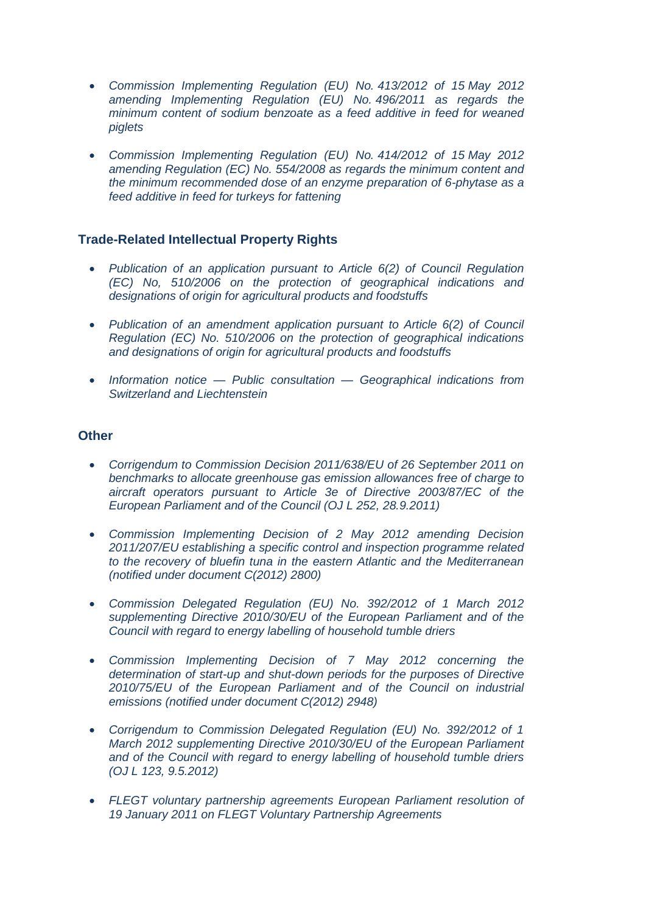- *[Commission Implementing Regulation \(EU\) No.](http://eur-lex.europa.eu/LexUriServ/LexUriServ.do?uri=OJ:L:2012:128:0004:0004:EN:PDF) 413/2012 of 15 May 2012 [amending Implementing Regulation \(EU\) No.](http://eur-lex.europa.eu/LexUriServ/LexUriServ.do?uri=OJ:L:2012:128:0004:0004:EN:PDF) 496/2011 as regards the [minimum content of sodium benzoate as](http://eur-lex.europa.eu/LexUriServ/LexUriServ.do?uri=OJ:L:2012:128:0004:0004:EN:PDF) a feed additive in feed for weaned [piglets](http://eur-lex.europa.eu/LexUriServ/LexUriServ.do?uri=OJ:L:2012:128:0004:0004:EN:PDF)*
- *[Commission Implementing Regulation \(EU\) No.](http://eur-lex.europa.eu/LexUriServ/LexUriServ.do?uri=OJ:L:2012:128:0005:0006:EN:PDF) 414/2012 of 15 May 2012 amending Regulation (EC) No. [554/2008 as regards the minimum content and](http://eur-lex.europa.eu/LexUriServ/LexUriServ.do?uri=OJ:L:2012:128:0005:0006:EN:PDF)  [the minimum recommended dose of an enzyme preparation of 6-phytase as a](http://eur-lex.europa.eu/LexUriServ/LexUriServ.do?uri=OJ:L:2012:128:0005:0006:EN:PDF)  [feed additive in feed for turkeys for fattening](http://eur-lex.europa.eu/LexUriServ/LexUriServ.do?uri=OJ:L:2012:128:0005:0006:EN:PDF)*

### **Trade-Related Intellectual Property Rights**

- *[Publication of an application pursuant to Article 6\(2\) of Council Regulation](http://eur-lex.europa.eu/LexUriServ/LexUriServ.do?uri=OJ:C:2012:136:0013:0015:EN:PDF)  [\(EC\) No, 510/2006 on the protection of geographical indications and](http://eur-lex.europa.eu/LexUriServ/LexUriServ.do?uri=OJ:C:2012:136:0013:0015:EN:PDF)  [designations of origin for agricultural products and foodstuffs](http://eur-lex.europa.eu/LexUriServ/LexUriServ.do?uri=OJ:C:2012:136:0013:0015:EN:PDF)*
- *[Publication of an amendment application pursuant to Article 6\(2\) of Council](http://eur-lex.europa.eu/LexUriServ/LexUriServ.do?uri=OJ:C:2012:136:0016:0020:EN:PDF)  [Regulation \(EC\) No. 510/2006 on the protection of geographical indications](http://eur-lex.europa.eu/LexUriServ/LexUriServ.do?uri=OJ:C:2012:136:0016:0020:EN:PDF)  [and designations of origin for agricultural products and foodstuffs](http://eur-lex.europa.eu/LexUriServ/LexUriServ.do?uri=OJ:C:2012:136:0016:0020:EN:PDF)*
- *Information notice — Public consultation — [Geographical indications from](http://eur-lex.europa.eu/LexUriServ/LexUriServ.do?uri=OJ:C:2012:136:0021:0022:EN:PDF)  [Switzerland and Liechtenstein](http://eur-lex.europa.eu/LexUriServ/LexUriServ.do?uri=OJ:C:2012:136:0021:0022:EN:PDF)*

#### **Other**

- *[Corrigendum to Commission Decision 2011/638/EU of 26 September 2011 on](http://eur-lex.europa.eu/LexUriServ/LexUriServ.do?uri=OJ:L:2012:120:0016:0016:EN:PDF)  [benchmarks to allocate greenhouse gas emission allowances free of](http://eur-lex.europa.eu/LexUriServ/LexUriServ.do?uri=OJ:L:2012:120:0016:0016:EN:PDF) charge to [aircraft operators pursuant to Article 3e of Directive 2003/87/EC of the](http://eur-lex.europa.eu/LexUriServ/LexUriServ.do?uri=OJ:L:2012:120:0016:0016:EN:PDF)  [European Parliament and of the Council \(OJ L 252, 28.9.2011\)](http://eur-lex.europa.eu/LexUriServ/LexUriServ.do?uri=OJ:L:2012:120:0016:0016:EN:PDF)*
- *[Commission Implementing Decision of 2 May 2012 amending Decision](http://eur-lex.europa.eu/LexUriServ/LexUriServ.do?uri=OJ:L:2012:121:0025:0035:EN:PDF)  [2011/207/EU establishing a specific control and inspection programme related](http://eur-lex.europa.eu/LexUriServ/LexUriServ.do?uri=OJ:L:2012:121:0025:0035:EN:PDF)  [to the recovery of bluefin tuna in the eastern Atlantic and the Mediterranean](http://eur-lex.europa.eu/LexUriServ/LexUriServ.do?uri=OJ:L:2012:121:0025:0035:EN:PDF)  [\(notified under document C\(2012\) 2800\)](http://eur-lex.europa.eu/LexUriServ/LexUriServ.do?uri=OJ:L:2012:121:0025:0035:EN:PDF)*
- *[Commission Delegated Regulation \(EU\) No. 392/2012 of 1 March 2012](http://eur-lex.europa.eu/LexUriServ/LexUriServ.do?uri=OJ:L:2012:123:0001:0026:EN:PDF)  [supplementing Directive 2010/30/EU of the European Parliament and of the](http://eur-lex.europa.eu/LexUriServ/LexUriServ.do?uri=OJ:L:2012:123:0001:0026:EN:PDF)  [Council with regard to energy labelling of household tumble driers](http://eur-lex.europa.eu/LexUriServ/LexUriServ.do?uri=OJ:L:2012:123:0001:0026:EN:PDF)*
- *[Commission Implementing Decision of 7 May 2012 concerning the](http://eur-lex.europa.eu/LexUriServ/LexUriServ.do?uri=OJ:L:2012:123:0044:0047:EN:PDF)  [determination of start-up and shut-down periods for the purposes of Directive](http://eur-lex.europa.eu/LexUriServ/LexUriServ.do?uri=OJ:L:2012:123:0044:0047:EN:PDF)  [2010/75/EU of the European Parliament and of the Council on industrial](http://eur-lex.europa.eu/LexUriServ/LexUriServ.do?uri=OJ:L:2012:123:0044:0047:EN:PDF)  [emissions \(notified under document C\(2012\) 2948\)](http://eur-lex.europa.eu/LexUriServ/LexUriServ.do?uri=OJ:L:2012:123:0044:0047:EN:PDF)*
- *[Corrigendum to Commission Delegated Regulation \(EU\) No. 392/2012 of 1](http://eur-lex.europa.eu/LexUriServ/LexUriServ.do?uri=OJ:L:2012:124:0056:0056:EN:PDF)  [March 2012 supplementing Directive 2010/30/EU of the European Parliament](http://eur-lex.europa.eu/LexUriServ/LexUriServ.do?uri=OJ:L:2012:124:0056:0056:EN:PDF)  [and of the Council with regard to energy labelling of household tumble driers](http://eur-lex.europa.eu/LexUriServ/LexUriServ.do?uri=OJ:L:2012:124:0056:0056:EN:PDF)  [\(OJ L 123, 9.5.2012\)](http://eur-lex.europa.eu/LexUriServ/LexUriServ.do?uri=OJ:L:2012:124:0056:0056:EN:PDF)*
- *[FLEGT voluntary partnership agreements European Parliament resolution of](http://eur-lex.europa.eu/LexUriServ/LexUriServ.do?uri=OJ:C:2012:136E:0016:0018:EN:PDF)  [19 January 2011 on FLEGT Voluntary Partnership Agreements](http://eur-lex.europa.eu/LexUriServ/LexUriServ.do?uri=OJ:C:2012:136E:0016:0018:EN:PDF)*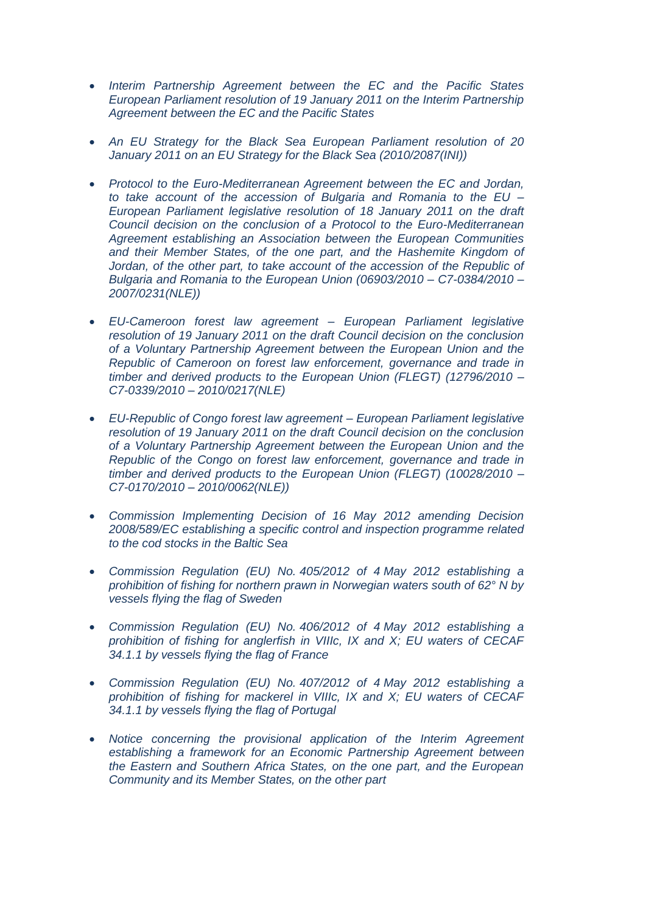- *[Interim Partnership Agreement between the EC and the Pacific States](http://eur-lex.europa.eu/LexUriServ/LexUriServ.do?uri=OJ:C:2012:136E:0019:0024:EN:PDF)  [European Parliament resolution of 19 January 2011 on the Interim Partnership](http://eur-lex.europa.eu/LexUriServ/LexUriServ.do?uri=OJ:C:2012:136E:0019:0024:EN:PDF)  [Agreement between the EC and the Pacific States](http://eur-lex.europa.eu/LexUriServ/LexUriServ.do?uri=OJ:C:2012:136E:0019:0024:EN:PDF)*
- *[An EU Strategy for the Black Sea European Parliament resolution of 20](http://eur-lex.europa.eu/LexUriServ/LexUriServ.do?uri=OJ:C:2012:136E:0081:0090:EN:PDF)  [January 2011 on an EU Strategy for the Black Sea \(2010/2087\(INI\)\)](http://eur-lex.europa.eu/LexUriServ/LexUriServ.do?uri=OJ:C:2012:136E:0081:0090:EN:PDF)*
- *[Protocol to the Euro-Mediterranean Agreement between the EC and Jordan,](http://eur-lex.europa.eu/LexUriServ/LexUriServ.do?uri=OJ:C:2012:136E:0105:0105:EN:PDF)  [to take account of the accession of Bulgaria and Romania to the EU –](http://eur-lex.europa.eu/LexUriServ/LexUriServ.do?uri=OJ:C:2012:136E:0105:0105:EN:PDF) [European Parliament legislative resolution of 18 January 2011 on the draft](http://eur-lex.europa.eu/LexUriServ/LexUriServ.do?uri=OJ:C:2012:136E:0105:0105:EN:PDF)  [Council decision on the conclusion of a Protocol to the Euro-Mediterranean](http://eur-lex.europa.eu/LexUriServ/LexUriServ.do?uri=OJ:C:2012:136E:0105:0105:EN:PDF)  [Agreement establishing an Association between the European Communities](http://eur-lex.europa.eu/LexUriServ/LexUriServ.do?uri=OJ:C:2012:136E:0105:0105:EN:PDF)  [and their Member States, of the one part, and the Hashemite Kingdom of](http://eur-lex.europa.eu/LexUriServ/LexUriServ.do?uri=OJ:C:2012:136E:0105:0105:EN:PDF)*  Jordan, of the other part, to take account of the accession of the Republic of *[Bulgaria and Romania to the European Union \(06903/2010 –](http://eur-lex.europa.eu/LexUriServ/LexUriServ.do?uri=OJ:C:2012:136E:0105:0105:EN:PDF) C7-0384/2010 – [2007/0231\(NLE\)\)](http://eur-lex.europa.eu/LexUriServ/LexUriServ.do?uri=OJ:C:2012:136E:0105:0105:EN:PDF)*
- *[EU-Cameroon forest law agreement –](http://eur-lex.europa.eu/LexUriServ/LexUriServ.do?uri=OJ:C:2012:136E:0109:0109:EN:PDF) European Parliament legislative [resolution of 19 January 2011 on the draft Council decision on the conclusion](http://eur-lex.europa.eu/LexUriServ/LexUriServ.do?uri=OJ:C:2012:136E:0109:0109:EN:PDF)  [of a Voluntary Partnership Agreement between the European Union and the](http://eur-lex.europa.eu/LexUriServ/LexUriServ.do?uri=OJ:C:2012:136E:0109:0109:EN:PDF)  [Republic of Cameroon on forest law enforcement, governance and trade in](http://eur-lex.europa.eu/LexUriServ/LexUriServ.do?uri=OJ:C:2012:136E:0109:0109:EN:PDF)  [timber and derived products to the European Union \(FLEGT\) \(12796/2010 –](http://eur-lex.europa.eu/LexUriServ/LexUriServ.do?uri=OJ:C:2012:136E:0109:0109:EN:PDF) C7-0339/2010 – [2010/0217\(NLE\)](http://eur-lex.europa.eu/LexUriServ/LexUriServ.do?uri=OJ:C:2012:136E:0109:0109:EN:PDF)*
- *[EU-Republic of Congo forest law agreement –](http://eur-lex.europa.eu/LexUriServ/LexUriServ.do?uri=OJ:C:2012:136E:0110:0110:EN:PDF) European Parliament legislative [resolution of 19 January 2011 on the draft Council decision on the conclusion](http://eur-lex.europa.eu/LexUriServ/LexUriServ.do?uri=OJ:C:2012:136E:0110:0110:EN:PDF)  [of a Voluntary Partnership Agreement between the European Union and the](http://eur-lex.europa.eu/LexUriServ/LexUriServ.do?uri=OJ:C:2012:136E:0110:0110:EN:PDF)  [Republic of the Congo on forest law enforcement, governance and trade in](http://eur-lex.europa.eu/LexUriServ/LexUriServ.do?uri=OJ:C:2012:136E:0110:0110:EN:PDF)  [timber and derived products to the European Union \(FLEGT\) \(10028/2010 –](http://eur-lex.europa.eu/LexUriServ/LexUriServ.do?uri=OJ:C:2012:136E:0110:0110:EN:PDF) C7-0170/2010 – [2010/0062\(NLE\)\)](http://eur-lex.europa.eu/LexUriServ/LexUriServ.do?uri=OJ:C:2012:136E:0110:0110:EN:PDF)*
- *[Commission Implementing Decision of 16 May 2012 amending Decision](http://eur-lex.europa.eu/LexUriServ/LexUriServ.do?uri=OJ:L:2012:130:0022:0023:EN:PDF)  [2008/589/EC establishing a specific control and inspection programme related](http://eur-lex.europa.eu/LexUriServ/LexUriServ.do?uri=OJ:L:2012:130:0022:0023:EN:PDF)  [to the cod stocks in the Baltic Sea](http://eur-lex.europa.eu/LexUriServ/LexUriServ.do?uri=OJ:L:2012:130:0022:0023:EN:PDF)*
- *[Commission Regulation \(EU\) No.](http://eur-lex.europa.eu/LexUriServ/LexUriServ.do?uri=OJ:L:2012:125:0025:0026:EN:PDF) 405/2012 of 4 May 2012 establishing a [prohibition of fishing for northern prawn in Norwegian waters south of 62° N by](http://eur-lex.europa.eu/LexUriServ/LexUriServ.do?uri=OJ:L:2012:125:0025:0026:EN:PDF)  [vessels flying the flag of Sweden](http://eur-lex.europa.eu/LexUriServ/LexUriServ.do?uri=OJ:L:2012:125:0025:0026:EN:PDF)*
- *[Commission Regulation \(EU\) No.](http://eur-lex.europa.eu/LexUriServ/LexUriServ.do?uri=OJ:L:2012:125:0027:0028:EN:PDF) 406/2012 of 4 May 2012 establishing a [prohibition of fishing for anglerfish in VIIIc, IX and X; EU waters of CECAF](http://eur-lex.europa.eu/LexUriServ/LexUriServ.do?uri=OJ:L:2012:125:0027:0028:EN:PDF)  [34.1.1 by vessels flying the flag of France](http://eur-lex.europa.eu/LexUriServ/LexUriServ.do?uri=OJ:L:2012:125:0027:0028:EN:PDF)*
- *[Commission Regulation \(EU\) No.](http://eur-lex.europa.eu/LexUriServ/LexUriServ.do?uri=OJ:L:2012:125:0029:0030:EN:PDF) 407/2012 of 4 May 2012 establishing a [prohibition of fishing for mackerel in VIIIc, IX and X; EU waters of CECAF](http://eur-lex.europa.eu/LexUriServ/LexUriServ.do?uri=OJ:L:2012:125:0029:0030:EN:PDF)  [34.1.1 by vessels flying the flag of Portugal](http://eur-lex.europa.eu/LexUriServ/LexUriServ.do?uri=OJ:L:2012:125:0029:0030:EN:PDF)*
- *[Notice concerning the provisional application of the Interim Agreement](http://eur-lex.europa.eu/LexUriServ/LexUriServ.do?uri=OJ:L:2012:125:0001:0001:EN:PDF)  [establishing a framework for an Economic Partnership Agreement](http://eur-lex.europa.eu/LexUriServ/LexUriServ.do?uri=OJ:L:2012:125:0001:0001:EN:PDF) between [the Eastern and Southern Africa States, on the one part, and the European](http://eur-lex.europa.eu/LexUriServ/LexUriServ.do?uri=OJ:L:2012:125:0001:0001:EN:PDF)  [Community and its Member States, on the other part](http://eur-lex.europa.eu/LexUriServ/LexUriServ.do?uri=OJ:L:2012:125:0001:0001:EN:PDF)*